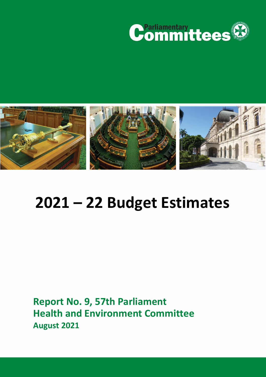



# **2021 – 22 Budget Estimates**

**Report No. 9, 57th Parliament Health and Environment Committee August 2021**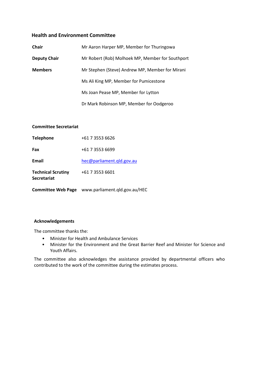# **Health and Environment Committee**

| <b>Chair</b>        | Mr Aaron Harper MP, Member for Thuringowa        |
|---------------------|--------------------------------------------------|
| <b>Deputy Chair</b> | Mr Robert (Rob) Molhoek MP, Member for Southport |
| <b>Members</b>      | Mr Stephen (Steve) Andrew MP, Member for Mirani  |
|                     | Ms Ali King MP, Member for Pumicestone           |
|                     | Ms Joan Pease MP, Member for Lytton              |
|                     | Dr Mark Robinson MP, Member for Oodgeroo         |

# **Committee Secretariat**

|                                                 | Committee Web Page www.parliament.qld.gov.au/HEC |
|-------------------------------------------------|--------------------------------------------------|
| <b>Technical Scrutiny</b><br><b>Secretariat</b> | +61 7 3553 6601                                  |
| Email                                           | hec@parliament.gld.gov.au                        |
| Fax                                             | +61 7 3553 6699                                  |
| <b>Telephone</b>                                | +61 7 3553 6626                                  |

#### **Acknowledgements**

The committee thanks the:

- Minister for Health and Ambulance Services
- Minister for the Environment and the Great Barrier Reef and Minister for Science and Youth Affairs.

The committee also acknowledges the assistance provided by departmental officers who contributed to the work of the committee during the estimates process.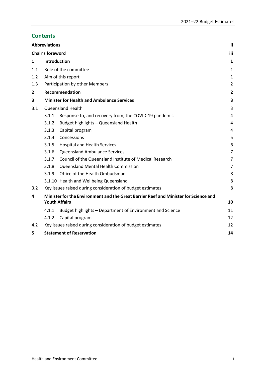# **Contents**

|              | <b>Abbreviations</b>    |                                                                                      | ii.            |
|--------------|-------------------------|--------------------------------------------------------------------------------------|----------------|
|              | <b>Chair's foreword</b> |                                                                                      | iii            |
| $\mathbf{1}$ | Introduction            |                                                                                      | 1              |
| 1.1          |                         | Role of the committee                                                                | 1              |
| 1.2          |                         | Aim of this report                                                                   | 1              |
| 1.3          |                         | Participation by other Members                                                       | $\overline{2}$ |
| 2            |                         | <b>Recommendation</b>                                                                | $\overline{2}$ |
| 3            |                         | <b>Minister for Health and Ambulance Services</b>                                    | 3              |
| 3.1          |                         | <b>Queensland Health</b>                                                             | 3              |
|              | 3.1.1                   | Response to, and recovery from, the COVID-19 pandemic                                | 4              |
|              | 3.1.2                   | Budget highlights - Queensland Health                                                | 4              |
|              | 3.1.3                   | Capital program                                                                      | 4              |
|              | 3.1.4                   | Concessions                                                                          | 5              |
|              | 3.1.5                   | <b>Hospital and Health Services</b>                                                  | 6              |
|              | 3.1.6                   | Queensland Ambulance Services                                                        | $\overline{7}$ |
|              | 3.1.7                   | Council of the Queensland Institute of Medical Research                              | 7              |
|              | 3.1.8                   | Queensland Mental Health Commission                                                  | 7              |
|              | 3.1.9                   | Office of the Health Ombudsman                                                       | 8              |
|              |                         | 3.1.10 Health and Wellbeing Queensland                                               | 8              |
| 3.2          |                         | Key issues raised during consideration of budget estimates                           | 8              |
| 4            |                         | Minister for the Environment and the Great Barrier Reef and Minister for Science and |                |
|              |                         | <b>Youth Affairs</b>                                                                 | 10             |
|              | 4.1.1                   | Budget highlights - Department of Environment and Science                            | 11             |
|              | 4.1.2                   | Capital program                                                                      | 12             |
| 4.2          |                         | Key issues raised during consideration of budget estimates                           | 12             |
| 5            |                         | <b>Statement of Reservation</b>                                                      | 14             |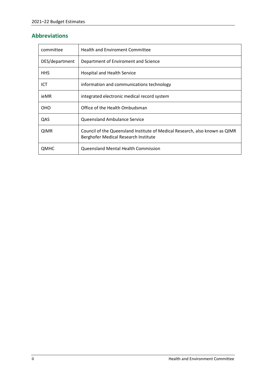# <span id="page-3-0"></span>**Abbreviations**

| committee      | <b>Health and Enviroment Committee</b>                                                                              |
|----------------|---------------------------------------------------------------------------------------------------------------------|
| DES/department | Department of Enviroment and Science                                                                                |
| HHS.           | <b>Hospital and Health Service</b>                                                                                  |
| ICT            | information and communications technology                                                                           |
| ieMR           | integrated electronic medical record system                                                                         |
| <b>OHO</b>     | Office of the Health Ombudsman                                                                                      |
| QAS            | Queensland Ambulance Service                                                                                        |
| <b>QIMR</b>    | Council of the Queensland Institute of Medical Research, also known as QIMR<br>Berghofer Medical Research Institute |
| ОМНС           | Queensland Mental Health Commission                                                                                 |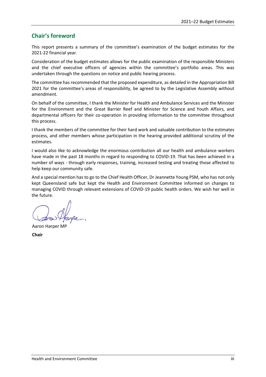# <span id="page-4-0"></span>**Chair's foreword**

This report presents a summary of the committee's examination of the budget estimates for the 2021-22 financial year.

Consideration of the budget estimates allows for the public examination of the responsible Ministers and the chief executive officers of agencies within the committee's portfolio areas. This was undertaken through the questions on notice and public hearing process.

The committee has recommended that the proposed expenditure, as detailed in the Appropriation Bill 2021 for the committee's areas of responsibility, be agreed to by the Legislative Assembly without amendment.

On behalf of the committee, I thank the Minister for Health and Ambulance Services and the Minister for the Environment and the Great Barrier Reef and Minister for Science and Youth Affairs, and departmental officers for their co-operation in providing information to the committee throughout this process.

I thank the members of the committee for their hard work and valuable contribution to the estimates process, and other members whose participation in the hearing provided additional scrutiny of the estimates.

I would also like to acknowledge the enormous contribution all our health and ambulance workers have made in the past 18 months in regard to responding to COVID-19. That has been achieved in a number of ways - through early responses, training, increased testing and treating those affected to help keep our community safe.

And a special mention has to go to the Chief Health Officer, Dr Jeannette Young PSM, who has not only kept Queensland safe but kept the Health and Environment Committee informed on changes to managing COVID through relevant extensions of COVID-19 public health orders. We wish her well in the future.

Aaron Harper MP

**Chair**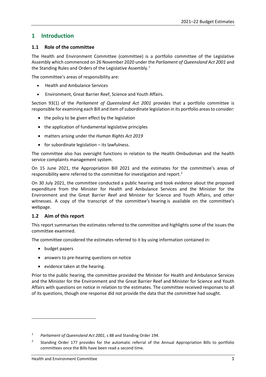# <span id="page-5-0"></span>**1 Introduction**

# <span id="page-5-1"></span>**1.1 Role of the committee**

The Health and Environment Committee (committee) is a portfolio committee of the Legislative Assembly which commenced on 26 November 2020 under the *Parliament of Queensland Act 2001* and the Standing Rules and Orders of the Legislative Assembly.<sup>[1](#page-5-3)</sup>

The committee's areas of responsibility are:

- Health and Ambulance Services
- Environment, Great Barrier Reef, Science and Youth Affairs.

Section 93(1) of the *Parliament of Queensland Act 2001* provides that a portfolio committee is responsible for examining each Bill and item of subordinate legislation in its portfolio areas to consider:

- the policy to be given effect by the legislation
- the application of fundamental legislative principles
- matters arising under the *Human Rights Act 2019*
- for subordinate legislation its lawfulness.

The committee also has oversight functions in relation to the Health Ombudsman and the health service complaints management system.

On 15 June 2021, the Appropriation Bill 2021 and the estimates for the committee's areas of responsibility were referred to the committee for investigation and report.<sup>[2](#page-5-4)</sup>

On 30 July 2021, the committee conducted a public hearing and took evidence about the proposed expenditure from the Minister for Health and Ambulance Services and the Minister for the Environment and the Great Barrier Reef and Minister for Science and Youth Affairs, and other witnesses. A copy of the transcript of the committee's hearing is available on the committee's webpage.

# <span id="page-5-2"></span>**1.2 Aim of this report**

This report summarises the estimates referred to the committee and highlights some of the issues the committee examined.

The committee considered the estimates referred to it by using information contained in:

• budget papers

 $\overline{a}$ 

- answers to pre-hearing questions on notice
- evidence taken at the hearing.

Prior to the public hearing, the committee provided the Minister for Health and Ambulance Services and the Minister for the Environment and the Great Barrier Reef and Minister for Science and Youth Affairs with questions on notice in relation to the estimates. The committee received responses to all of its questions, though one response did not provide the data that the committee had sought.

<span id="page-5-3"></span><sup>1</sup> *Parliament of Queensland Act 2001*, s 88 and Standing Order 194.

<span id="page-5-4"></span><sup>2</sup> Standing Order 177 provides for the automatic referral of the Annual Appropriation Bills to portfolio committees once the Bills have been read a second time.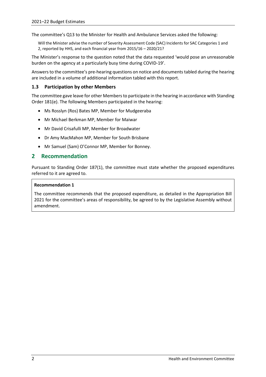The committee's Q13 to the Minister for Health and Ambulance Services asked the following:

Will the Minister advise the number of Severity Assessment Code (SAC) Incidents for SAC Categories 1 and 2, reported by HHS, and each financial year from 2015/16 – 2020/21?

The Minister's response to the question noted that the data requested 'would pose an unreasonable burden on the agency at a particularly busy time during COVID-19'.

Answers to the committee's pre-hearing questions on notice and documents tabled during the hearing are included in a volume of additional information tabled with this report.

# <span id="page-6-0"></span>**1.3 Participation by other Members**

The committee gave leave for other Members to participate in the hearing in accordance with Standing Order 181(e). The following Members participated in the hearing:

- Ms Rosslyn (Ros) Bates MP, Member for Mudgeeraba
- Mr Michael Berkman MP, Member for Maiwar
- Mr David Crisafulli MP, Member for Broadwater
- Dr Amy MacMahon MP, Member for South Brisbane
- Mr Samuel (Sam) O'Connor MP, Member for Bonney.

# <span id="page-6-1"></span>**2 Recommendation**

Pursuant to Standing Order 187(1), the committee must state whether the proposed expenditures referred to it are agreed to.

#### **Recommendation 1**

The committee recommends that the proposed expenditure, as detailed in the Appropriation Bill 2021 for the committee's areas of responsibility, be agreed to by the Legislative Assembly without amendment.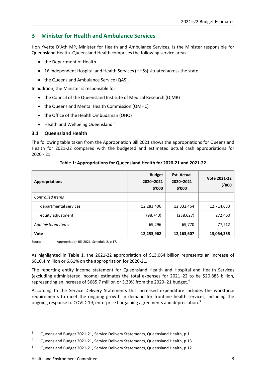# <span id="page-7-0"></span>**3 Minister for Health and Ambulance Services**

Hon Yvette D'Ath MP, Minister for Health and Ambulance Services, is the Minister responsible for Queensland Health. Queensland Health comprises the following service areas:

- the Department of Health
- 16 independent Hospital and Health Services (HHSs) situated across the state
- the Queensland Ambulance Service (QAS).

In addition, the Minister is responsible for:

- the Council of the Queensland Institute of Medical Research (QIMR)
- the Queensland Mental Health Commission (QMHC)
- the Office of the Health Ombudsman (OHO)
- $\bullet$  Health and Wellbeing Queensland.<sup>[3](#page-7-2)</sup>

#### <span id="page-7-1"></span>**3.1 Queensland Health**

The following table taken from the Appropriation Bill 2021 shows the appropriations for Queensland Health for 2021-22 compared with the budgeted and estimated actual cash appropriations for 2020 - 21.

| <b>Appropriations</b>   | <b>Budget</b><br>2020-2021<br>\$′000 | <b>Est. Actual</b><br>2020-2021<br>\$′000 | Vote 2021-22<br>\$'000 |
|-------------------------|--------------------------------------|-------------------------------------------|------------------------|
| <b>Controlled Items</b> |                                      |                                           |                        |
| departmental services   | 12,283,406                           | 12,332,464                                | 12,714,683             |
| equity adjustment       | (98,740)                             | (238, 627)                                | 272,460                |
| Administered Items      | 69,296                               | 69,770                                    | 77,212                 |
| Vote                    | 12,253,962                           | 12,163,607                                | 13,064,355             |

## **Table 1: Appropriations for Queensland Health for 2020-21 and 2021-22**

Source: Appropriation Bill 2021, Schedule 2, p 17.

As highlighted in Table 1, the 2021-22 appropriation of \$13.064 billion represents an increase of \$810.4 million or 6.61% on the appropriation for 2020-21.

The reporting entity income statement for Queensland Health and Hospital and Health Services (excluding administered income) estimates the total expenses for 2021–22 to be \$20.885 billion, representing an increase of \$685.7 million or 3.39% from the 2020-21 budget.<sup>[4](#page-7-3)</sup>

According to the Service Delivery Statements this increased expenditure includes the workforce requirements to meet the ongoing growth in demand for frontline health services, including the ongoing response to COVID-19, enterprise bargaining agreements and depreciation.<sup>[5](#page-7-4)</sup>

<span id="page-7-2"></span><sup>&</sup>lt;sup>3</sup> Queensland Budget 2021-21, Service Delivery Statements, Queensland Health, p 1.

<span id="page-7-3"></span><sup>4</sup> Queensland Budget 2021-21, Service Delivery Statements, Queensland Health, p 13.

<span id="page-7-4"></span><sup>5</sup> Queensland Budget 2021-21, Service Delivery Statements, Queensland Health, p 12.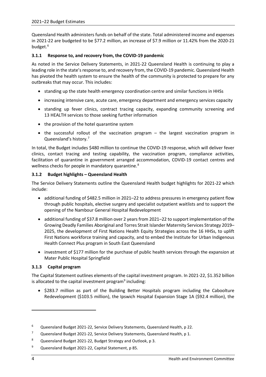Queensland Health administers funds on behalf of the state. Total administered income and expenses in 2021-22 are budgeted to be \$77.2 million, an increase of \$7.9 million or 11.42% from the 2020-21 budget. [6](#page-8-3)

# <span id="page-8-0"></span>**3.1.1 Response to, and recovery from, the COVID-19 pandemic**

As noted in the Service Delivery Statements, in 2021-22 Queensland Health is continuing to play a leading role in the state's response to, and recovery from, the COVID-19 pandemic. Queensland Health has pivoted the health system to ensure the health of the community is protected to prepare for any outbreaks that may occur. This includes:

- standing up the state health emergency coordination centre and similar functions in HHSs
- increasing intensive care, acute care, emergency department and emergency services capacity
- standing up fever clinics, contract tracing capacity, expanding community screening and 13 HEALTH services to those seeking further information
- the provision of the hotel quarantine system
- the successful rollout of the vaccination program the largest vaccination program in Queensland's history.[7](#page-8-4)

In total, the Budget includes \$480 million to continue the COVID-19 response, which will deliver fever clinics, contact tracing and testing capability, the vaccination program, compliance activities, facilitation of quarantine in government arranged accommodation, COVID-19 contact centres and wellness checks for people in mandatory quarantine.<sup>[8](#page-8-5)</sup>

## <span id="page-8-1"></span>**3.1.2 Budget highlights – Queensland Health**

The Service Delivery Statements outline the Queensland Health budget highlights for 2021-22 which include:

- additional funding of \$482.5 million in 2021–22 to address pressures in emergency patient flow through public hospitals, elective surgery and specialist outpatient waitlists and to support the opening of the Nambour General Hospital Redevelopment
- additional funding of \$37.8 million over 2 years from 2021–22 to support implementation of the Growing Deadly Families Aboriginal and Torres Strait Islander Maternity Services Strategy 2019– 2025, the development of First Nations Health Equity Strategies across the 16 HHSs, to uplift First Nations workforce training and capacity, and to embed the Institute for Urban Indigenous Health Connect Plus program in South East Queensland
- investment of \$177 million for the purchase of public health services through the expansion at Mater Public Hospital Springfield

#### <span id="page-8-2"></span>**3.1.3 Capital program**

The Capital Statement outlines elements of the capital investment program. In 2021-22, \$1.352 billion is allocated to the capital investment program $9$  including:

• \$283.7 million as part of the Building Better Hospitals program including the Caboolture Redevelopment (\$103.5 million), the Ipswich Hospital Expansion Stage 1A (\$92.4 million), the

<span id="page-8-3"></span><sup>6</sup> Queensland Budget 2021-22, Service Delivery Statements, Queensland Health, p 22.

<span id="page-8-4"></span><sup>&</sup>lt;sup>7</sup> Queensland Budget 2021-22, Service Delivery Statements, Queensland Health, p 1.

<span id="page-8-5"></span><sup>8</sup> Queensland Budget 2021-22, Budget Strategy and Outlook, p 3.

<span id="page-8-6"></span><sup>9</sup> Queensland Budget 2021-22, Capital Statement, p 85.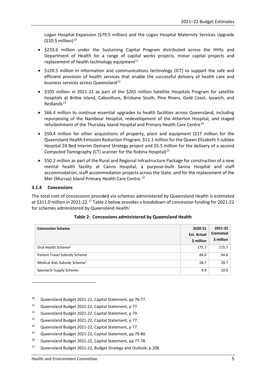Logan Hospital Expansion (\$79.5 million) and the Logan Hospital Maternity Services Upgrade  $(510.5 \text{ million})^{10}$  $(510.5 \text{ million})^{10}$  $(510.5 \text{ million})^{10}$ 

- \$233.6 million under the Sustaining Capital Program distributed across the HHSs and Department of Health for a range of capital works projects, minor capital projects and replacement of health technology equipment $11$
- \$120.5 million in information and communications technology (ICT) to support the safe and efficient provision of health services that enable the successful delivery of health care and business services across Queensland<sup>[12](#page-9-3)</sup>
- \$105 million in 2021-22 as part of the \$265 million Satellite Hospitals Program for satellite hospitals at Bribie Island, Caboolture, Brisbane South, Pine Rivers, Gold Coast, Ipswich, and Redlands $13$
- \$66.4 million to continue essential upgrades to health facilities across Queensland, including repurposing of the Nambour Hospital, redevelopment of the Atherton Hospital, and staged refurbishment of the Thursday Island Hospital and Primary Health Care Centre<sup>[14](#page-9-5)</sup>
- \$50.4 million for other acquisitions of property, plant and equipment (\$17 million for the Queensland Health Emission Reduction Program, \$11.1 million for the Queen Elizabeth II Jubilee Hospital 24 Bed Interim Demand Strategy project and \$5.5 million for the delivery of a second Computed Tomography (CT) scanner for the Robina Hospital $1^{15}$  $1^{15}$  $1^{15}$
- \$50.2 million as part of the Rural and Regional Infrastructure Package for construction of a new mental health facility at Cairns Hospital, a purpose-built Sarina Hospital and staff accommodation, staff accommodation projects across the State, and for the replacement of the Mer (Murray) Island Primary Health Care Centre.[16](#page-9-7)

#### <span id="page-9-0"></span>**3.1.4 Concessions**

1

The total cost of concessions provided via schemes administered by Queensland Health is estimated at \$311.0 million in 2021-22.<sup>[17](#page-9-8)</sup> Table 2 below provides a breakdown of concession funding for 2021-22 for schemes administered by Queensland Health:

| <b>Concession Scheme</b>                 | 2020-21<br><b>Est. Actual</b><br>\$ million | 2021-22<br><b>Estimated</b><br>\$ million |
|------------------------------------------|---------------------------------------------|-------------------------------------------|
| Oral Health Scheme <sup>1</sup>          | 175.7                                       | 175.7                                     |
| Patient Travel Subsidy Scheme            | 84.0                                        | 94.8                                      |
| Medical Aids Subsidy Scheme <sup>1</sup> | 28.7                                        | 28.7                                      |
| Spectacle Supply Scheme                  | 9.9                                         | 10.0                                      |

|  | Table 2: Concessions administered by Queensland Health |  |  |
|--|--------------------------------------------------------|--|--|
|--|--------------------------------------------------------|--|--|

- <span id="page-9-1"></span><sup>10</sup> Queensland Budget 2021-22, Capital Statement, pp 76-77.
- <span id="page-9-2"></span><sup>11</sup> Queensland Budget 2021-22, Capital Statement, p 77.
- <span id="page-9-3"></span><sup>12</sup> Queensland Budget 2021-22, Capital Statement, p 79.
- <span id="page-9-4"></span><sup>13</sup> Queensland Budget 2021-22, Capital Statement, p 77.
- <span id="page-9-5"></span><sup>14</sup> Queensland Budget 2021-22, Capital Statement, p 77.
- <span id="page-9-6"></span><sup>15</sup> Queensland Budget 2021-22, Capital Statement, pp 79-80.
- <span id="page-9-7"></span><sup>16</sup> Queensland Budget 2021-22, Capital Statement, pp 77-78.
- <span id="page-9-8"></span><sup>17</sup> Queensland Budget 2021-22, Budget Strategy and Outlook, p 208.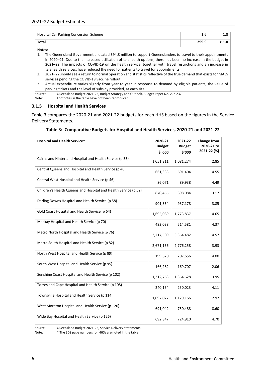| Hospital Car Parking Concession Scheme | 1.6   |  |
|----------------------------------------|-------|--|
| <b>Total</b>                           | 299.9 |  |

Notes:

- 1. The Queensland Government allocated \$94.8 million to support Queenslanders to travel to their appointments in 2020–21. Due to the increased utilisation of telehealth options, there has been no increase in the budget in 2021–22. The impacts of COVID-19 on the health service, together with travel restrictions and an increase in telehealth services, have reduced the need for patients to travel for appointments.
- 2. 2021–22 should see a return to normal operation and statistics reflective of the true demand that exists for MASS services pending the COVID-19 vaccine rollout.

3. Actual expenditure varies slightly from year to year in response to demand by eligible patients, the value of parking tickets and the level of subsidy provided, at each site.

Source: Queensland Budget 2021-22, Budget Strategy and Outlook, Budget Paper No. 2, p 237.<br>Note: Footnotes in the table have not been reproduced.

Footnotes in the table have not been reproduced.

#### <span id="page-10-0"></span>**3.1.5 Hospital and Health Services**

Table 3 compares the 2020-21 and 2021-22 budgets for each HHS based on the figures in the Service Delivery Statements.

| <b>Hospital and Health Service*</b>                             | 2020-21<br><b>Budget</b><br>\$'000 | 2021-22<br><b>Budget</b><br>\$'000 | <b>Change from</b><br>2020-21 to<br>2021-22 (%) |
|-----------------------------------------------------------------|------------------------------------|------------------------------------|-------------------------------------------------|
| Cairns and Hinterland Hospital and Health Service (p 33)        | 1,051,311                          | 1,081,274                          | 2.85                                            |
| Central Queensland Hospital and Health Service (p 40)           | 661,333                            | 691,404                            | 4.55                                            |
| Central West Hospital and Health Service (p 46)                 | 86,071                             | 89,938                             | 4.49                                            |
| Children's Health Queensland Hospital and Health Service (p 52) | 870,455                            | 898,084                            | 3.17                                            |
| Darling Downs Hospital and Health Service (p 58)                | 901,354                            | 937,178                            | 3.85                                            |
| Gold Coast Hospital and Health Service (p 64)                   | 1,695,089                          | 1,773,837                          | 4.65                                            |
| Mackay Hospital and Health Service (p 70)                       | 493,038                            | 514,581                            | 4.37                                            |
| Metro North Hospital and Health Service (p 76)                  | 3,217,509                          | 3,364,482                          | 4.57                                            |
| Metro South Hospital and Health Service (p 82)                  | 2,671,156                          | 2,776,258                          | 3.93                                            |
| North West Hospital and Health Service (p 89)                   | 199,670                            | 207,656                            | 4.00                                            |
| South West Hospital and Health Service (p 95)                   | 166,282                            | 169,707                            | 2.06                                            |
| Sunshine Coast Hospital and Health Service (p 102)              | 1,312,763                          | 1,364,628                          | 3.95                                            |
| Torres and Cape Hospital and Health Service (p 108)             | 240,154                            | 250,023                            | 4.11                                            |
| Townsville Hospital and Health Service (p 114)                  | 1,097,027                          | 1,129,166                          | 2.92                                            |
| West Moreton Hospital and Health Service (p 120)                | 691,042                            | 750,488                            | 8.60                                            |
| Wide Bay Hospital and Health Service (p 126)                    | 692,347                            | 724,910                            | 4.70                                            |

#### **Table 3: Comparative Budgets for Hospital and Health Services, 2020-21 and 2021-22**

Source: Queensland Budget 2021-22, Service Delivery Statements.

Note: \* The SDS page numbers for HHSs are noted in the table.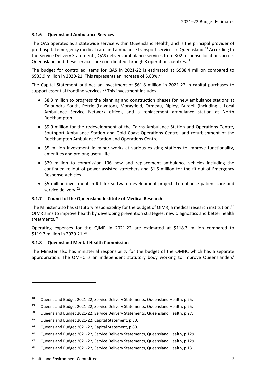# <span id="page-11-0"></span>**3.1.6 Queensland Ambulance Services**

The QAS operates as a statewide service within Queensland Health, and is the principal provider of pre-hospital emergency medical care and ambulance transport services in Queensland.<sup>[18](#page-11-3)</sup> According to the Service Delivery Statements, QAS delivers ambulance services from 302 response locations across Queensland and these services are coordinated through 8 operations centres.[19](#page-11-4)

The budget for controlled items for QAS in 2021-22 is estimated at \$988.4 million compared to \$933.9 million in [20](#page-11-5)20-21. This represents an increase of 5.83%.<sup>20</sup>

The Capital Statement outlines an investment of \$61.8 million in 2021-22 in capital purchases to support essential frontline services.<sup>[21](#page-11-6)</sup> This investment includes:

- \$8.3 million to progress the planning and construction phases for new ambulance stations at Caloundra South, Petrie (Lawnton), Morayfield, Ormeau, Ripley, Burdell (including a Local Ambulance Service Network office), and a replacement ambulance station at North Rockhampton
- \$9.9 million for the redevelopment of the Cairns Ambulance Station and Operations Centre, Southport Ambulance Station and Gold Coast Operations Centre, and refurbishment of the Rockhampton Ambulance Station and Operations Centre
- \$5 million investment in minor works at various existing stations to improve functionality, amenities and prolong useful life
- \$29 million to commission 136 new and replacement ambulance vehicles including the continued rollout of power assisted stretchers and \$1.5 million for the fit-out of Emergency Response Vehicles
- \$5 million investment in ICT for software development projects to enhance patient care and service delivery.<sup>[22](#page-11-7)</sup>

#### <span id="page-11-1"></span>**3.1.7 Council of the Queensland Institute of Medical Research**

The Minister also has statutory responsibility for the budget of QIMR, a medical research institution.<sup>[23](#page-11-8)</sup> QIMR aims to improve health by developing prevention strategies, new diagnostics and better health treatments.<sup>[24](#page-11-9)</sup>

Operating expenses for the QIMR in 2021-22 are estimated at \$118.3 million compared to \$119.7 million in 2020-21.<sup>25</sup>

#### <span id="page-11-2"></span>**3.1.8 Queensland Mental Health Commission**

The Minister also has ministerial responsibility for the budget of the QMHC which has a separate appropriation. The QMHC is an independent statutory body working to improve Queenslanders'

- <span id="page-11-6"></span><sup>21</sup> Queensland Budget 2021-22, Capital Statement, p 80.
- <span id="page-11-7"></span><sup>22</sup> Queensland Budget 2021-22, Capital Statement, p 80.
- <span id="page-11-8"></span><sup>23</sup> Queensland Budget 2021-22, Service Delivery Statements, Queensland Health, p 129.

<span id="page-11-10"></span><sup>25</sup> Queensland Budget 2021-22, Service Delivery Statements, Queensland Health, p 131.

1

<span id="page-11-3"></span><sup>18</sup> Queensland Budget 2021-22, Service Delivery Statements, Queensland Health, p 25.

<span id="page-11-4"></span><sup>19</sup> Queensland Budget 2021-22, Service Delivery Statements, Queensland Health, p 25.

<span id="page-11-5"></span><sup>&</sup>lt;sup>20</sup> Queensland Budget 2021-22, Service Delivery Statements, Queensland Health, p 27.

<span id="page-11-9"></span><sup>&</sup>lt;sup>24</sup> Queensland Budget 2021-22, Service Delivery Statements, Queensland Health, p 129.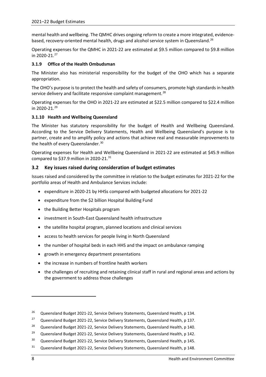mental health and wellbeing. The QMHC drives ongoing reform to create a more integrated, evidencebased, recovery-oriented mental health, drugs and alcohol service system in Queensland.<sup>26</sup>

Operating expenses for the QMHC in 2021-22 are estimated at \$9.5 million compared to \$9.8 million in 2020-21. [27](#page-12-4) 

# <span id="page-12-0"></span>**3.1.9 Office of the Health Ombudsman**

The Minister also has ministerial responsibility for the budget of the OHO which has a separate appropriation.

The OHO's purpose is to protect the health and safety of consumers, promote high standards in health service delivery and facilitate responsive complaint management.<sup>[28](#page-12-5)</sup>

Operating expenses for the OHO in 2021-22 are estimated at \$22.5 million compared to \$22.4 million in 2020-21. [29](#page-12-6) 

## <span id="page-12-1"></span>**3.1.10 Health and Wellbeing Queensland**

The Minister has statutory responsibility for the budget of Health and Wellbeing Queensland. According to the Service Delivery Statements, Health and Wellbeing Queensland's purpose is to partner, create and to amplify policy and actions that achieve real and measurable improvements to the health of every Queenslander.<sup>[30](#page-12-7)</sup>

Operating expenses for Health and Wellbeing Queensland in 2021-22 are estimated at \$45.9 million compared to \$37.9 million in 2020-21. $31$ 

# <span id="page-12-2"></span>**3.2 Key issues raised during consideration of budget estimates**

Issues raised and considered by the committee in relation to the budget estimates for 2021-22 for the portfolio areas of Health and Ambulance Services include:

- expenditure in 2020-21 by HHSs compared with budgeted allocations for 2021-22
- expenditure from the \$2 billion Hospital Building Fund
- the Building Better Hospitals program
- investment in South-East Queensland health infrastructure
- the satellite hospital program, planned locations and clinical services
- access to health services for people living in North Queensland
- the number of hospital beds in each HHS and the impact on ambulance ramping
- growth in emergency department presentations
- the increase in numbers of frontline health workers
- the challenges of recruiting and retaining clinical staff in rural and regional areas and actions by the government to address those challenges

<span id="page-12-3"></span><sup>&</sup>lt;sup>26</sup> Queensland Budget 2021-22, Service Delivery Statements, Queensland Health, p 134.

<span id="page-12-4"></span><sup>&</sup>lt;sup>27</sup> Queensland Budget 2021-22, Service Delivery Statements, Queensland Health, p 137.

<span id="page-12-5"></span><sup>&</sup>lt;sup>28</sup> Queensland Budget 2021-22, Service Delivery Statements, Queensland Health, p 140.

<span id="page-12-6"></span><sup>&</sup>lt;sup>29</sup> Queensland Budget 2021-22, Service Delivery Statements, Queensland Health, p 142.

<span id="page-12-7"></span><sup>&</sup>lt;sup>30</sup> Queensland Budget 2021-22, Service Delivery Statements, Queensland Health, p 145.

<span id="page-12-8"></span><sup>&</sup>lt;sup>31</sup> Queensland Budget 2021-22, Service Delivery Statements, Queensland Health, p 148.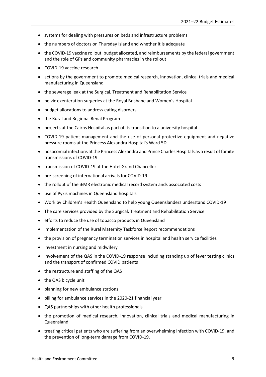- systems for dealing with pressures on beds and infrastructure problems
- the numbers of doctors on Thursday Island and whether it is adequate
- the COVID-19 vaccine rollout, budget allocated, and reimbursements by the federal government and the role of GPs and community pharmacies in the rollout
- COVID-19 vaccine research
- actions by the government to promote medical research, innovation, clinical trials and medical manufacturing in Queensland
- the sewerage leak at the Surgical, Treatment and Rehabilitation Service
- pelvic exenteration surgeries at the Royal Brisbane and Women's Hospital
- budget allocations to address eating disorders
- the Rural and Regional Renal Program
- projects at the Cairns Hospital as part of its transition to a university hospital
- COVID-19 patient management and the use of personal protective equipment and negative pressure rooms at the Princess Alexandra Hospital's Ward 5D
- nosocomial infections at the Princess Alexandra and Prince Charles Hospitals as a result of fomite transmissions of COVID-19
- transmission of COVID-19 at the Hotel Grand Chancellor
- pre-screening of international arrivals for COVID-19
- the rollout of the iEMR electronic medical record system ands associated costs
- use of Pyxis machines in Queensland hospitals
- Work by Children's Health Queensland to help young Queenslanders understand COVID-19
- The care services provided by the Surgical, Treatment and Rehabilitation Service
- efforts to reduce the use of tobacco products in Queensland
- implementation of the Rural Maternity Taskforce Report recommendations
- the provision of pregnancy termination services in hospital and health service facilities
- investment in nursing and midwifery
- involvement of the QAS in the COVID-19 response including standing up of fever testing clinics and the transport of confirmed COVID patients
- the restructure and staffing of the QAS
- the QAS bicycle unit
- planning for new ambulance stations
- billing for ambulance services in the 2020-21 financial year
- QAS partnerships with other health professionals
- the promotion of medical research, innovation, clinical trials and medical manufacturing in Queensland
- treating critical patients who are suffering from an overwhelming infection with COVID-19, and the prevention of long-term damage from COVID-19.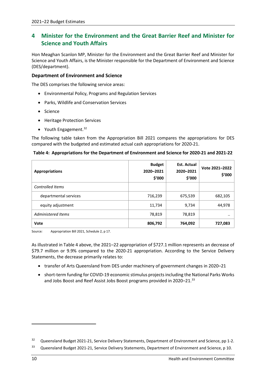# <span id="page-14-0"></span>**4 Minister for the Environment and the Great Barrier Reef and Minister for Science and Youth Affairs**

Hon Meaghan Scanlon MP, Minister for the Environment and the Great Barrier Reef and Minister for Science and Youth Affairs, is the Minister responsible for the Department of Environment and Science (DES/department).

# **Department of Environment and Science**

The DES comprises the following service areas:

- Environmental Policy, Programs and Regulation Services
- Parks, Wildlife and Conservation Services
- Science
- Heritage Protection Services
- Youth Engagement.<sup>[32](#page-14-1)</sup>

The following table taken from the Appropriation Bill 2021 compares the appropriations for DES compared with the budgeted and estimated actual cash appropriations for 2020-21.

| <b>Appropriations</b>   | <b>Budget</b><br>2020-2021<br>\$'000 | <b>Est. Actual</b><br>2020-2021<br>\$'000 | Vote 2021-2022<br>\$'000 |
|-------------------------|--------------------------------------|-------------------------------------------|--------------------------|
| <b>Controlled Items</b> |                                      |                                           |                          |
| departmental services   | 716,239                              | 675,539                                   | 682,105                  |
| equity adjustment       | 11,734                               | 9,734                                     | 44,978                   |
| Administered Items      | 78,819                               | 78,819                                    | $\cdot$                  |
| Vote                    | 806,792                              | 764,092                                   | 727,083                  |

#### **Table 4: Appropriations for the Department of Environment and Science for 2020-21 and 2021-22**

Source*:* Appropriation Bill 2021, Schedule 2, p 17.

As illustrated in Table 4 above, the 2021–22 appropriation of \$727.1 million represents an decrease of \$79.7 million or 9.9% compared to the 2020-21 appropriation. According to the Service Delivery Statements, the decrease primarily relates to:

- transfer of Arts Queensland from DES under machinery of government changes in 2020–21
- short-term funding for COVID-19 economic stimulus projects including the National Parks Works and Jobs Boost and Reef Assist Jobs Boost programs provided in 2020–21.<sup>33</sup>

<span id="page-14-1"></span><sup>&</sup>lt;sup>32</sup> Queensland Budget 2021-21, Service Delivery Statements, Department of Environment and Science, pp 1-2.

<span id="page-14-2"></span><sup>&</sup>lt;sup>33</sup> Queensland Budget 2021-21, Service Delivery Statements, Department of Environment and Science, p 10.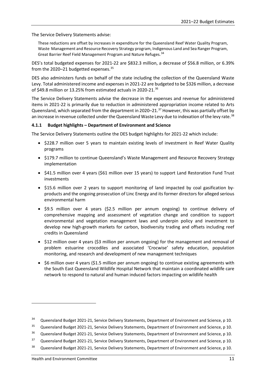The Service Delivery Statements advise:

These reductions are offset by increases in expenditure for the Queensland Reef Water Quality Program, Waste Management and Resource Recovery Strategy program, Indigenous Land and Sea Ranger Program, Great Barrier Reef Field Management Program and Nature Refuges.<sup>[34](#page-15-1)</sup>

DES's total budgeted expenses for 2021-22 are \$832.3 million, a decrease of \$56.8 million, or 6.39% from the 2020–21 budgetted expenses.<sup>[35](#page-15-2)</sup>

DES also administers funds on behalf of the state including the collection of the Queensland Waste Levy. Total administered income and expenses in 2021-22 are budgeted to be \$326 million, a decrease of \$49.8 million or 13.25% from estimated actuals in 2020-21. $36$ 

The Service Delivery Statements advise the decrease in the expenses and revenue for administered items in 2021-22 is primarily due to reduction in administered appropriation income related to Arts Queensland, which separated from the department in 2020–21. [37](#page-15-4) However, this was partially offset by an increase in revenue collected under the Queensland Waste Levy due to indexation of the levy rate.<sup>[38](#page-15-5)</sup>

## <span id="page-15-0"></span>**4.1.1 Budget highlights – Department of Environment and Science**

The Service Delivery Statements outline the DES budget highlights for 2021-22 which include:

- \$228.7 million over 5 years to maintain existing levels of investment in Reef Water Quality programs
- \$179.7 million to continue Queensland's Waste Management and Resource Recovery Strategy implementation
- \$41.5 million over 4 years (\$61 million over 15 years) to support Land Restoration Fund Trust investments
- \$15.6 million over 2 years to support monitoring of land impacted by coal gasification byproducts and the ongoing prosecution of Linc Energy and its former directors for alleged serious environmental harm
- \$9.5 million over 4 years (\$2.5 million per annum ongoing) to continue delivery of comprehensive mapping and assessment of vegetation change and condition to support environmental and vegetation management laws and underpin policy and investment to develop new high-growth markets for carbon, biodiversity trading and offsets including reef credits in Queensland
- \$12 million over 4 years (\$3 million per annum ongoing) for the management and removal of problem estuarine crocodiles and associated 'Crocwise' safety education, population monitoring, and research and development of new management techniques
- \$6 million over 4 years (\$1.5 million per annum ongoing) to continue existing agreements with the South East Queensland Wildlife Hospital Network that maintain a coordinated wildlife care network to respond to natural and human induced factors impacting on wildlife health

<span id="page-15-1"></span><sup>&</sup>lt;sup>34</sup> Queensland Budget 2021-21, Service Delivery Statements, Department of Environment and Science, p 10.

<span id="page-15-2"></span><sup>&</sup>lt;sup>35</sup> Queensland Budget 2021-21, Service Delivery Statements, Department of Environment and Science, p 10.

<span id="page-15-3"></span><sup>&</sup>lt;sup>36</sup> Queensland Budget 2021-21, Service Delivery Statements, Department of Environment and Science, p 10.

<span id="page-15-4"></span><sup>&</sup>lt;sup>37</sup> Queensland Budget 2021-21, Service Delivery Statements, Department of Environment and Science, p 10.

<span id="page-15-5"></span><sup>&</sup>lt;sup>38</sup> Queensland Budget 2021-21, Service Delivery Statements, Department of Environment and Science, p 10.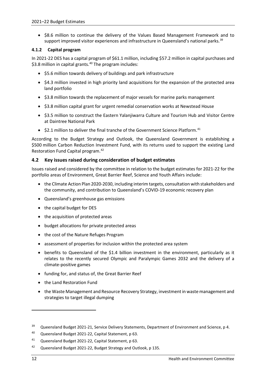• \$8.6 million to continue the delivery of the Values Based Management Framework and to support improved visitor experiences and infrastructure in Queensland's national parks.<sup>[39](#page-16-2)</sup>

# <span id="page-16-0"></span>**4.1.2 Capital program**

In 2021-22 DES has a capital program of \$61.1 million, including \$57.2 million in capital purchases and \$3.8 million in capital grants. [40](#page-16-3) The program includes:

- \$5.6 million towards delivery of buildings and park infrastructure
- \$4.3 million invested in high priority land acquisitions for the expansion of the protected area land portfolio
- \$3.8 million towards the replacement of major vessels for marine parks management
- \$3.8 million capital grant for urgent remedial conservation works at Newstead House
- \$3.5 million to construct the Eastern Yalanjiwarra Culture and Tourism Hub and Visitor Centre at Daintree National Park
- $\bullet$  \$2.1 million to deliver the final tranche of the Government Science Platform.<sup>[41](#page-16-4)</sup>

According to the Budget Strategy and Outlook, the Queensland Government is establishing a \$500 million Carbon Reduction Investment Fund, with its returns used to support the existing Land Restoration Fund Capital program.[42](#page-16-5)

# <span id="page-16-1"></span>**4.2 Key issues raised during consideration of budget estimates**

Issues raised and considered by the committee in relation to the budget estimates for 2021-22 for the portfolio areas of Environment, Great Barrier Reef, Science and Youth Affairs include:

- the Climate Action Plan 2020-2030, including interim targets, consultation with stakeholders and the community, and contribution to Queensland's COVID-19 economic recovery plan
- Queensland's greenhouse gas emissions
- the capital budget for DES
- the acquisition of protected areas
- budget allocations for private protected areas
- the cost of the Nature Refuges Program
- assessment of properties for inclusion within the protected area system
- benefits to Queensland of the \$1.4 billion investment in the environment, particularly as it relates to the recently secured Olympic and Paralympic Games 2032 and the delivery of a climate-positive games
- funding for, and status of, the Great Barrier Reef
- the Land Restoration Fund
- the Waste Management and Resource Recovery Strategy, investment in waste management and strategies to target illegal dumping

<span id="page-16-2"></span><sup>&</sup>lt;sup>39</sup> Queensland Budget 2021-21, Service Delivery Statements, Department of Environment and Science, p 4.

<span id="page-16-3"></span><sup>&</sup>lt;sup>40</sup> Queensland Budget 2021-22, Capital Statement, p 63.

<span id="page-16-4"></span><sup>41</sup> Queensland Budget 2021-22, Capital Statement, p 63.

<span id="page-16-5"></span><sup>42</sup> Queensland Budget 2021-22, Budget Strategy and Outlook, p 135.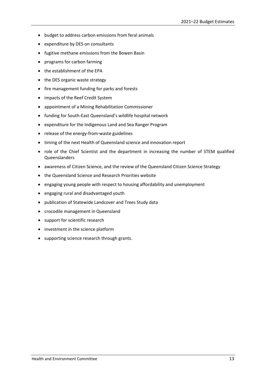- budget to address carbon emissions from feral animals
- expenditure by DES on consultants
- fugitive methane emissions from the Bowen Basin
- programs for carbon farming
- the establishment of the EPA
- the DES organic waste strategy
- fire management funding for parks and forests
- impacts of the Reef Credit System
- appointment of a Mining Rehabilitation Commissioner
- funding for South-East Queensland's wildlife hospital network
- expenditure for the Indigenous Land and Sea Ranger Program
- release of the energy-from-waste guidelines
- timing of the next Health of Queensland science and innovation report
- role of the Chief Scientist and the department in increasing the number of STEM qualified Queenslanders
- awareness of Citizen Science, and the review of the Queensland Citizen Science Strategy
- the Queensland Science and Research Priorities website
- engaging young people with respect to housing affordability and unemployment
- engaging rural and disadvantaged youth
- publication of Statewide Landcover and Trees Study data
- crocodile management in Queensland
- support for scientific research
- investment in the science platform
- supporting science research through grants.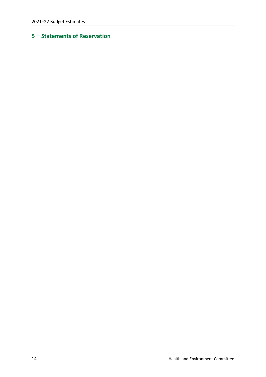# <span id="page-18-0"></span>**Statements of Reservation**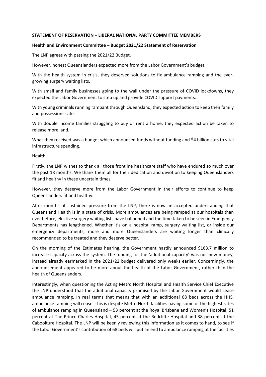#### **STATEMENT OF RESERVATION – LIBERAL NATIONAL PARTY COMMITTEE MEMBERS**

#### **Health and Environment Committee – Budget 2021/22 Statement of Reservation**

The LNP agrees with passing the 2021/22 Budget.

However, honest Queenslanders expected more from the Labor Government's budget.

With the health system in crisis, they deserved solutions to fix ambulance ramping and the evergrowing surgery waiting lists.

With small and family businesses going to the wall under the pressure of COVID lockdowns, they expected the Labor Government to step up and provide COVID support payments.

With young criminals running rampant through Queensland, they expected action to keep their family and possessions safe.

With double income families struggling to buy or rent a home, they expected action be taken to release more land.

What they received was a budget which announced funds without funding and \$4 billion cuts to vital infrastructure spending.

#### **Health**

Firstly, the LNP wishes to thank all those frontline healthcare staff who have endured so much over the past 18 months. We thank them all for their dedication and devotion to keeping Queenslanders fit and healthy in these uncertain times.

However, they deserve more from the Labor Government in their efforts to continue to keep Queenslanders fit and healthy.

After months of sustained pressure from the LNP, there is now an accepted understanding that Queensland Health is in a state of crisis. More ambulances are being ramped at our hospitals than ever before, elective surgery waiting lists have ballooned and the time taken to be seen in Emergency Departments has lengthened. Whether it's on a hospital ramp, surgery waiting list, or inside our emergency departments, more and more Queenslanders are waiting longer than clinically recommended to be treated and they deserve better.

On the morning of the Estimates hearing, the Government hastily announced \$163.7 million to increase capacity across the system. The funding for the 'additional capacity' was not new money, instead already earmarked in the 2021/22 budget delivered only weeks earlier. Concerningly, the announcement appeared to be more about the health of the Labor Government, rather than the health of Queenslanders.

Interestingly, when questioning the Acting Metro North Hospital and Health Service Chief Executive the LNP understood that the additional capacity promised by the Labor Government would cease ambulance ramping. In real terms that means that with an additional 68 beds across the HHS, ambulance ramping will cease. This is despite Metro North facilities having some of the highest rates of ambulance ramping in Queensland – 53 percent at the Royal Brisbane and Women's Hospital, 51 percent at The Prince Charles Hospital, 45 percent at the Redcliffe Hospital and 38 percent at the Caboolture Hospital. The LNP will be keenly reviewing this information as it comes to hand, to see if the Labor Government's contribution of 68 beds will put an end to ambulance ramping at the facilities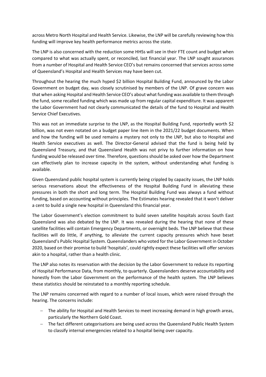across Metro North Hospital and Health Service. Likewise, the LNP will be carefully reviewing how this funding will improve key health performance metrics across the state.

The LNP is also concerned with the reduction some HHSs will see in their FTE count and budget when compared to what was actually spent, or reconciled, last financial year. The LNP sought assurances from a number of Hospital and Health Service CEO's but remains concerned that services across some of Queensland's Hospital and Health Services may have been cut.

Throughout the hearing the much hyped \$2 billion Hospital Building Fund, announced by the Labor Government on budget day, was closely scrutinised by members of the LNP. Of grave concern was that when asking Hospital and Health Service CEO's about what funding was available to them through the fund, some recalled funding which was made up from regular capital expenditure. It was apparent the Labor Government had not clearly communicated the details of the fund to Hospital and Health Service Chief Executives.

This was not an immediate surprise to the LNP, as the Hospital Building Fund, reportedly worth \$2 billion, was not even notated on a budget paper line item in the 2021/22 budget documents. When and how the funding will be used remains a mystery not only to the LNP, but also to Hospital and Health Service executives as well. The Director-General advised that the fund is being held by Queensland Treasury, and that Queensland Health was not privy to further information on how funding would be released over time. Therefore, questions should be asked over how the Department can effectively plan to increase capacity in the system, without understanding what funding is available.

Given Queensland public hospital system is currently being crippled by capacity issues, the LNP holds serious reservations about the effectiveness of the Hospital Building Fund in alleviating these pressures in both the short and long term. The Hospital Building Fund was always a fund without funding, based on accounting without principles. The Estimates hearing revealed that it won't deliver a cent to build a single new hospital in Queensland this financial year.

The Labor Government's election commitment to build seven satellite hospitals across South East Queensland was also debated by the LNP. It was revealed during the hearing that none of these satellite facilities will contain Emergency Departments, or overnight beds. The LNP believe that these facilities will do little, if anything, to alleviate the current capacity pressures which have beset Queensland's Public Hospital System. Queenslanders who voted for the Labor Government in October 2020, based on their promise to build 'hospitals', could rightly expect these facilities will offer services akin to a hospital, rather than a health clinic.

The LNP also notes its reservation with the decision by the Labor Government to reduce its reporting of Hospital Performance Data, from monthly, to quarterly. Queenslanders deserve accountability and honestly from the Labor Government on the performance of the health system. The LNP believes these statistics should be reinstated to a monthly reporting schedule.

The LNP remains concerned with regard to a number of local issues, which were raised through the hearing. The concerns include:

- − The ability for Hospital and Health Services to meet increasing demand in high growth areas, particularly the Northern Gold Coast.
- − The fact different categorisations are being used across the Queensland Public Health System to classify internal emergencies related to a hospital being over capacity.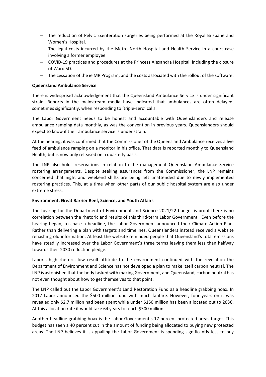- − The reduction of Pelvic Exenteration surgeries being performed at the Royal Brisbane and Women's Hospital.
- − The legal costs incurred by the Metro North Hospital and Health Service in a court case involving a former employee.
- − COVID-19 practices and procedures at the Princess Alexandra Hospital, including the closure of Ward 5D.
- − The cessation of the ie MR Program, and the costs associated with the rollout of the software.

#### **Queensland Ambulance Service**

There is widespread acknowledgement that the Queensland Ambulance Service is under significant strain. Reports in the mainstream media have indicated that ambulances are often delayed, sometimes significantly, when responding to 'triple-zero' calls.

The Labor Government needs to be honest and accountable with Queenslanders and release ambulance ramping data monthly, as was the convention in previous years. Queenslanders should expect to know if their ambulance service is under strain.

At the hearing, it was confirmed that the Commissioner of the Queensland Ambulance receives a live feed of ambulance ramping on a monitor in his office. That data is reported monthly to Queensland Health, but is now only released on a quarterly basis.

The LNP also holds reservations in relation to the management Queensland Ambulance Service rostering arrangements. Despite seeking assurances from the Commissioner, the LNP remains concerned that night and weekend shifts are being left unattended due to newly implemented rostering practices. This, at a time when other parts of our public hospital system are also under extreme stress.

#### **Environment, Great Barrier Reef, Science, and Youth Affairs**

The hearing for the Department of Environment and Science 2021/22 budget is proof there is no correlation between the rhetoric and results of this third-term Labor Government. Even before the hearing began, to chase a headline, the Labor Government announced their Climate Action Plan. Rather than delivering a plan with targets and timelines, Queenslanders instead received a website rehashing old information. At least the website reminded people that Queensland's total emissions have steadily increased over the Labor Government's three terms leaving them less than halfway towards their 2030 reduction pledge.

Labor's high rhetoric low result attitude to the environment continued with the revelation the Department of Environment and Science has not developed a plan to make itself carbon neutral. The LNP is astonished that the body tasked with making Government, and Queensland, carbon neutral has not even thought about how to get themselves to that point.

The LNP called out the Labor Government's Land Restoration Fund as a headline grabbing hoax. In 2017 Labor announced the \$500 million fund with much fanfare. However, four years on it was revealed only \$2.7 million had been spent while under \$150 million has been allocated out to 2036. At this allocation rate it would take 64 years to reach \$500 million.

Another headline grabbing hoax is the Labor Government's 17 percent protected areas target. This budget has seen a 40 percent cut in the amount of funding being allocated to buying new protected areas. The LNP believes it is appalling the Labor Government is spending significantly less to buy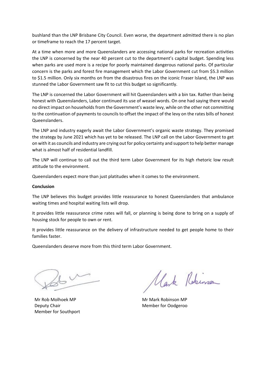bushland than the LNP Brisbane City Council. Even worse, the department admitted there is no plan or timeframe to reach the 17 percent target.

At a time when more and more Queenslanders are accessing national parks for recreation activities the LNP is concerned by the near 40 percent cut to the department's capital budget. Spending less when parks are used more is a recipe for poorly maintained dangerous national parks. Of particular concern is the parks and forest fire management which the Labor Government cut from \$5.3 million to \$1.5 million. Only six months on from the disastrous fires on the iconic Fraser Island, the LNP was stunned the Labor Government saw fit to cut this budget so significantly.

The LNP is concerned the Labor Government will hit Queenslanders with a bin tax. Rather than being honest with Queenslanders, Labor continued its use of weasel words. On one had saying there would no direct impact on households from the Government's waste levy, while on the other not committing to the continuation of payments to councils to offset the impact of the levy on the rates bills of honest Queenslanders.

The LNP and industry eagerly await the Labor Government's organic waste strategy. They promised the strategy by June 2021 which has yet to be released. The LNP call on the Labor Government to get on with it as councils and industry are crying out for policy certainty and support to help better manage what is almost half of residential landfill.

The LNP will continue to call out the third term Labor Government for its high rhetoric low result attitude to the environment.

Queenslanders expect more than just platitudes when it comes to the environment.

#### **Conclusion**

The LNP believes this budget provides little reassurance to honest Queenslanders that ambulance waiting times and hospital waiting lists will drop.

It provides little reassurance crime rates will fall, or planning is being done to bring on a supply of housing stock for people to own or rent.

It provides little reassurance on the delivery of infrastructure needed to get people home to their families faster.

Queenslanders deserve more from this third term Labor Government.

Mr Rob Molhoek MP Deputy Chair Member for Southport

Mark Robinson

Mr Mark Robinson MP Member for Oodgeroo